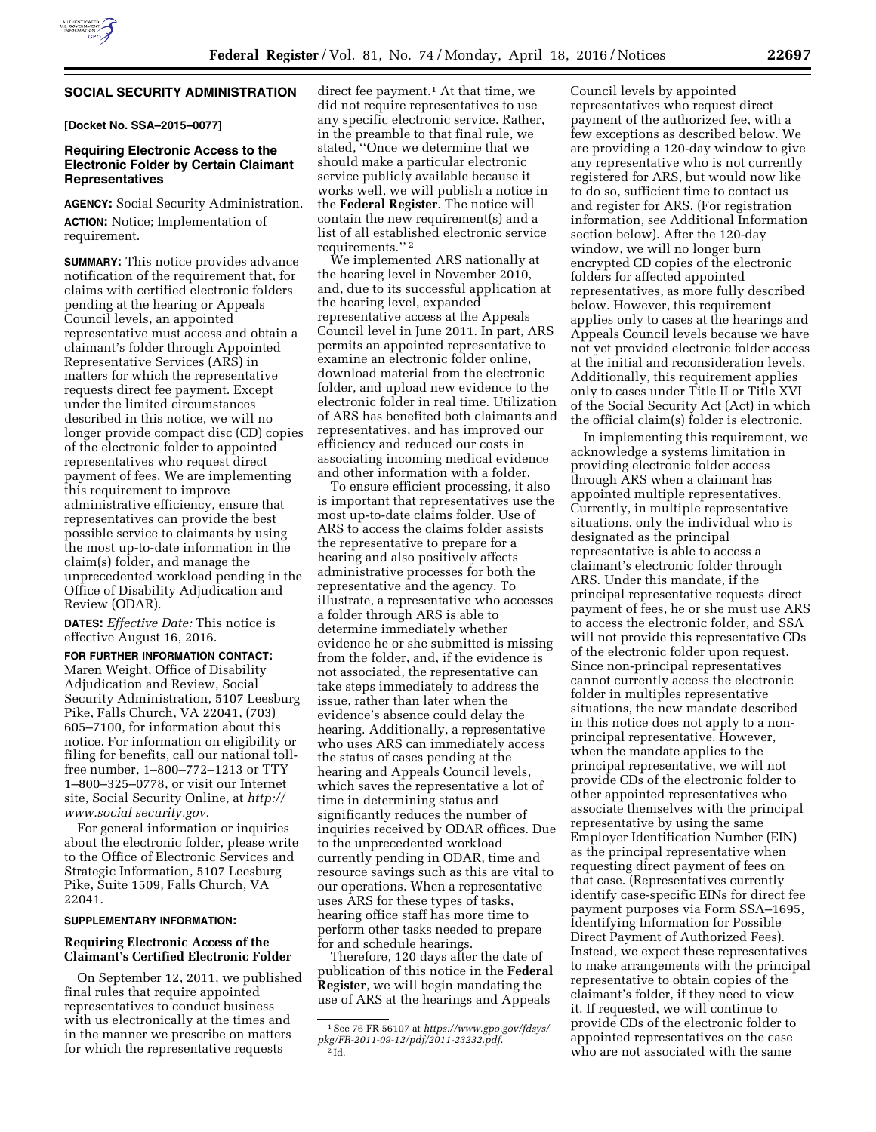# **SOCIAL SECURITY ADMINISTRATION**

**[Docket No. SSA–2015–0077]** 

# **Requiring Electronic Access to the Electronic Folder by Certain Claimant Representatives**

**AGENCY:** Social Security Administration.

**ACTION:** Notice; Implementation of requirement.

**SUMMARY:** This notice provides advance notification of the requirement that, for claims with certified electronic folders pending at the hearing or Appeals Council levels, an appointed representative must access and obtain a claimant's folder through Appointed Representative Services (ARS) in matters for which the representative requests direct fee payment. Except under the limited circumstances described in this notice, we will no longer provide compact disc (CD) copies of the electronic folder to appointed representatives who request direct payment of fees. We are implementing this requirement to improve administrative efficiency, ensure that representatives can provide the best possible service to claimants by using the most up-to-date information in the claim(s) folder, and manage the unprecedented workload pending in the Office of Disability Adjudication and Review (ODAR).

**DATES:** *Effective Date:* This notice is effective August 16, 2016.

**FOR FURTHER INFORMATION CONTACT:** 

Maren Weight, Office of Disability Adjudication and Review, Social Security Administration, 5107 Leesburg Pike, Falls Church, VA 22041, (703) 605–7100, for information about this notice. For information on eligibility or filing for benefits, call our national tollfree number, 1–800–772–1213 or TTY 1–800–325–0778, or visit our Internet site, Social Security Online, at *[http://](http://www.socialsecurity.gov) [www.social security.gov.](http://www.socialsecurity.gov)* 

For general information or inquiries about the electronic folder, please write to the Office of Electronic Services and Strategic Information, 5107 Leesburg Pike, Suite 1509, Falls Church, VA 22041.

#### **SUPPLEMENTARY INFORMATION:**

# **Requiring Electronic Access of the Claimant's Certified Electronic Folder**

On September 12, 2011, we published final rules that require appointed representatives to conduct business with us electronically at the times and in the manner we prescribe on matters for which the representative requests

direct fee payment.<sup>1</sup> At that time, we did not require representatives to use any specific electronic service. Rather, in the preamble to that final rule, we stated, ''Once we determine that we should make a particular electronic service publicly available because it works well, we will publish a notice in the **Federal Register**. The notice will contain the new requirement(s) and a list of all established electronic service requirements.'' 2

We implemented ARS nationally at the hearing level in November 2010, and, due to its successful application at the hearing level, expanded representative access at the Appeals Council level in June 2011. In part, ARS permits an appointed representative to examine an electronic folder online, download material from the electronic folder, and upload new evidence to the electronic folder in real time. Utilization of ARS has benefited both claimants and representatives, and has improved our efficiency and reduced our costs in associating incoming medical evidence and other information with a folder.

To ensure efficient processing, it also is important that representatives use the most up-to-date claims folder. Use of ARS to access the claims folder assists the representative to prepare for a hearing and also positively affects administrative processes for both the representative and the agency. To illustrate, a representative who accesses a folder through ARS is able to determine immediately whether evidence he or she submitted is missing from the folder, and, if the evidence is not associated, the representative can take steps immediately to address the issue, rather than later when the evidence's absence could delay the hearing. Additionally, a representative who uses ARS can immediately access the status of cases pending at the hearing and Appeals Council levels, which saves the representative a lot of time in determining status and significantly reduces the number of inquiries received by ODAR offices. Due to the unprecedented workload currently pending in ODAR, time and resource savings such as this are vital to our operations. When a representative uses ARS for these types of tasks, hearing office staff has more time to perform other tasks needed to prepare for and schedule hearings.

Therefore, 120 days after the date of publication of this notice in the **Federal Register**, we will begin mandating the use of ARS at the hearings and Appeals

Council levels by appointed representatives who request direct payment of the authorized fee, with a few exceptions as described below. We are providing a 120-day window to give any representative who is not currently registered for ARS, but would now like to do so, sufficient time to contact us and register for ARS. (For registration information, see Additional Information section below). After the 120-day window, we will no longer burn encrypted CD copies of the electronic folders for affected appointed representatives, as more fully described below. However, this requirement applies only to cases at the hearings and Appeals Council levels because we have not yet provided electronic folder access at the initial and reconsideration levels. Additionally, this requirement applies only to cases under Title II or Title XVI of the Social Security Act (Act) in which the official claim(s) folder is electronic.

In implementing this requirement, we acknowledge a systems limitation in providing electronic folder access through ARS when a claimant has appointed multiple representatives. Currently, in multiple representative situations, only the individual who is designated as the principal representative is able to access a claimant's electronic folder through ARS. Under this mandate, if the principal representative requests direct payment of fees, he or she must use ARS to access the electronic folder, and SSA will not provide this representative CDs of the electronic folder upon request. Since non-principal representatives cannot currently access the electronic folder in multiples representative situations, the new mandate described in this notice does not apply to a nonprincipal representative. However, when the mandate applies to the principal representative, we will not provide CDs of the electronic folder to other appointed representatives who associate themselves with the principal representative by using the same Employer Identification Number (EIN) as the principal representative when requesting direct payment of fees on that case. (Representatives currently identify case-specific EINs for direct fee payment purposes via Form SSA–1695, Identifying Information for Possible Direct Payment of Authorized Fees). Instead, we expect these representatives to make arrangements with the principal representative to obtain copies of the claimant's folder, if they need to view it. If requested, we will continue to provide CDs of the electronic folder to appointed representatives on the case who are not associated with the same

<sup>1</sup>See 76 FR 56107 at *[https://www.gpo.gov/fdsys/](https://www.gpo.gov/fdsys/pkg/FR-2011-09-12/pdf/2011-23232.pdf) [pkg/FR-2011-09-12/pdf/2011-23232.pdf](https://www.gpo.gov/fdsys/pkg/FR-2011-09-12/pdf/2011-23232.pdf)*. 2 Id.